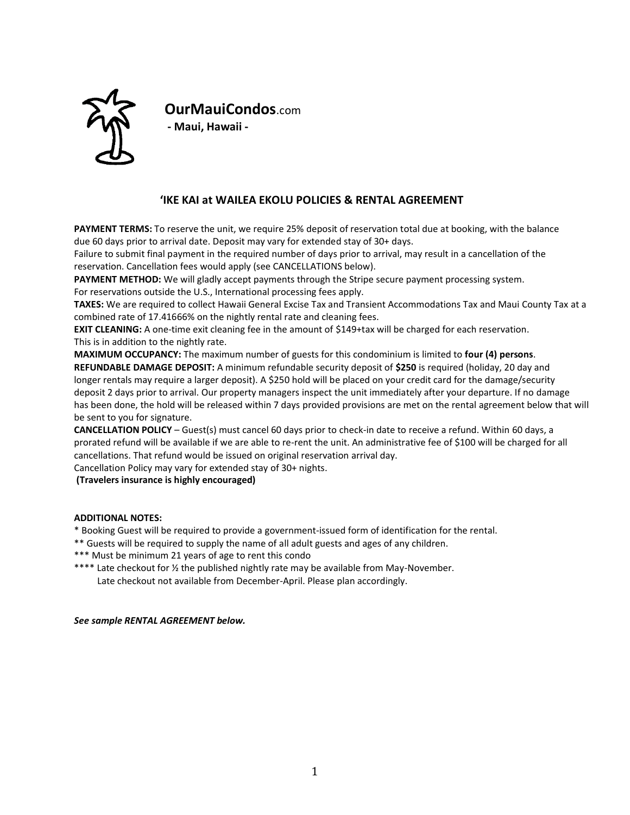

**OurMauiCondos**.com **- Maui, Hawaii -**

# **ʻIKE KAI at WAILEA EKOLU POLICIES & RENTAL AGREEMENT**

**PAYMENT TERMS:** To reserve the unit, we require 25% deposit of reservation total due at booking, with the balance due 60 days prior to arrival date. Deposit may vary for extended stay of 30+ days.

Failure to submit final payment in the required number of days prior to arrival, may result in a cancellation of the reservation. Cancellation fees would apply (see CANCELLATIONS below).

**PAYMENT METHOD:** We will gladly accept payments through the Stripe secure payment processing system.

For reservations outside the U.S., International processing fees apply.

**TAXES:** We are required to collect Hawaii General Excise Tax and Transient Accommodations Tax and Maui County Tax at a combined rate of 17.41666% on the nightly rental rate and cleaning fees.

**EXIT CLEANING:** A one-time exit cleaning fee in the amount of \$149+tax will be charged for each reservation. This is in addition to the nightly rate.

**MAXIMUM OCCUPANCY:** The maximum number of guests for this condominium is limited to **four (4) persons**. **REFUNDABLE DAMAGE DEPOSIT:** A minimum refundable security deposit of **\$250** is required (holiday, 20 day and longer rentals may require a larger deposit). A \$250 hold will be placed on your credit card for the damage/security deposit 2 days prior to arrival. Our property managers inspect the unit immediately after your departure. If no damage has been done, the hold will be released within 7 days provided provisions are met on the rental agreement below that will be sent to you for signature.

**CANCELLATION POLICY** – Guest(s) must cancel 60 days prior to check-in date to receive a refund. Within 60 days, a prorated refund will be available if we are able to re-rent the unit. An administrative fee of \$100 will be charged for all cancellations. That refund would be issued on original reservation arrival day.

Cancellation Policy may vary for extended stay of 30+ nights.

**(Travelers insurance is highly encouraged)**

# **ADDITIONAL NOTES:**

\* Booking Guest will be required to provide a government-issued form of identification for the rental.

\*\* Guests will be required to supply the name of all adult guests and ages of any children.

- \*\*\* Must be minimum 21 years of age to rent this condo
- \*\*\*\* Late checkout for ½ the published nightly rate may be available from May-November. Late checkout not available from December-April. Please plan accordingly.

## *See sample RENTAL AGREEMENT below.*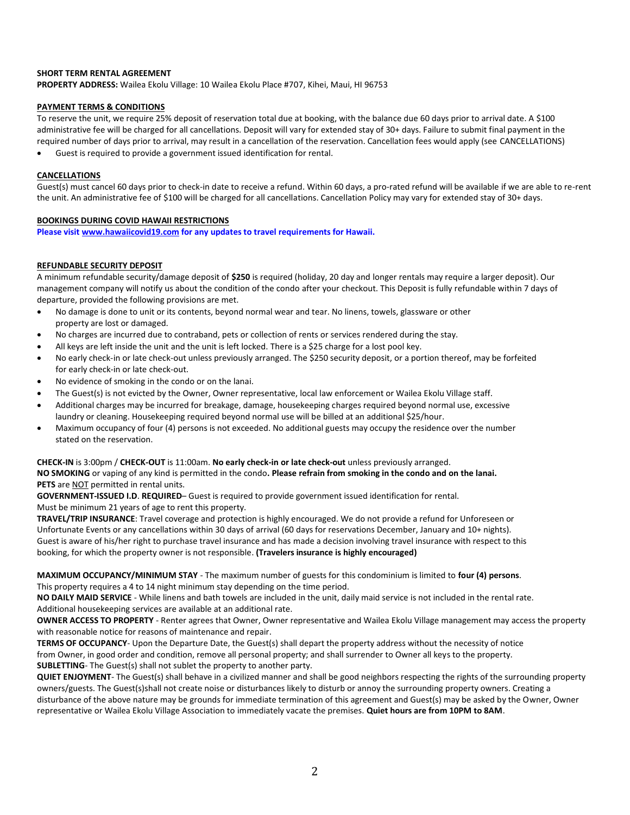## **SHORT TERM RENTAL AGREEMENT**

**PROPERTY ADDRESS:** Wailea Ekolu Village: 10 Wailea Ekolu Place #707, Kihei, Maui, HI 96753

### **PAYMENT TERMS & CONDITIONS**

To reserve the unit, we require 25% deposit of reservation total due at booking, with the balance due 60 days prior to arrival date. A \$100 administrative fee will be charged for all cancellations. Deposit will vary for extended stay of 30+ days. Failure to submit final payment in the required number of days prior to arrival, may result in a cancellation of the reservation. Cancellation fees would apply (see CANCELLATIONS)

• Guest is required to provide a government issued identification for rental.

#### **CANCELLATIONS**

Guest(s) must cancel 60 days prior to check-in date to receive a refund. Within 60 days, a pro-rated refund will be available if we are able to re-rent the unit. An administrative fee of \$100 will be charged for all cancellations. Cancellation Policy may vary for extended stay of 30+ days.

#### **BOOKINGS DURING COVID HAWAII RESTRICTIONS**

**Please visi[t www.hawaiicovid19.com](http://www.hawaiicovid19.com/) for any updates to travel requirements for Hawaii.**

# **REFUNDABLE SECURITY DEPOSIT**

A minimum refundable security/damage deposit of **\$250** is required (holiday, 20 day and longer rentals may require a larger deposit). Our management company will notify us about the condition of the condo after your checkout. This Deposit is fully refundable within 7 days of departure, provided the following provisions are met.

- No damage is done to unit or its contents, beyond normal wear and tear. No linens, towels, glassware or other property are lost or damaged.
- No charges are incurred due to contraband, pets or collection of rents or services rendered during the stay.
- All keys are left inside the unit and the unit is left locked. There is a \$25 charge for a lost pool key.
- No early check-in or late check-out unless previously arranged. The \$250 security deposit, or a portion thereof, may be forfeited for early check-in or late check-out.
- No evidence of smoking in the condo or on the lanai.
- The Guest(s) is not evicted by the Owner, Owner representative, local law enforcement or Wailea Ekolu Village staff.
- Additional charges may be incurred for breakage, damage, housekeeping charges required beyond normal use, excessive laundry or cleaning. Housekeeping required beyond normal use will be billed at an additional \$25/hour.
- Maximum occupancy of four (4) persons is not exceeded. No additional guests may occupy the residence over the number stated on the reservation.

#### **CHECK-IN** is 3:00pm / **CHECK-OUT** is 11:00am. **No early check-in or late check-out** unless previously arranged.

**NO SMOKING** or vaping of any kind is permitted in the condo**. Please refrain from smoking in the condo and on the lanai. PETS** are NOT permitted in rental units.

**GOVERNMENT-ISSUED I.D**. **REQUIRED**– Guest is required to provide government issued identification for rental. Must be minimum 21 years of age to rent this property.

**TRAVEL/TRIP INSURANCE**: Travel coverage and protection is highly encouraged. We do not provide a refund for Unforeseen or Unfortunate Events or any cancellations within 30 days of arrival (60 days for reservations December, January and 10+ nights). Guest is aware of his/her right to purchase travel insurance and has made a decision involving travel insurance with respect to this booking, for which the property owner is not responsible. **(Travelers insurance is highly encouraged)**

**MAXIMUM OCCUPANCY/MINIMUM STAY** - The maximum number of guests for this condominium is limited to **four (4) persons**. This property requires a 4 to 14 night minimum stay depending on the time period.

**NO DAILY MAID SERVICE** - While linens and bath towels are included in the unit, daily maid service is not included in the rental rate. Additional housekeeping services are available at an additional rate.

**OWNER ACCESS TO PROPERTY** - Renter agrees that Owner, Owner representative and Wailea Ekolu Village management may access the property with reasonable notice for reasons of maintenance and repair.

**TERMS OF OCCUPANCY**- Upon the Departure Date, the Guest(s) shall depart the property address without the necessity of notice from Owner, in good order and condition, remove all personal property; and shall surrender to Owner all keys to the property. **SUBLETTING**- The Guest(s) shall not sublet the property to another party.

**QUIET ENJOYMENT**- The Guest(s) shall behave in a civilized manner and shall be good neighbors respecting the rights of the surrounding property owners/guests. The Guest(s)shall not create noise or disturbances likely to disturb or annoy the surrounding property owners. Creating a disturbance of the above nature may be grounds for immediate termination of this agreement and Guest(s) may be asked by the Owner, Owner representative or Wailea Ekolu Village Association to immediately vacate the premises. **Quiet hours are from 10PM to 8AM**.